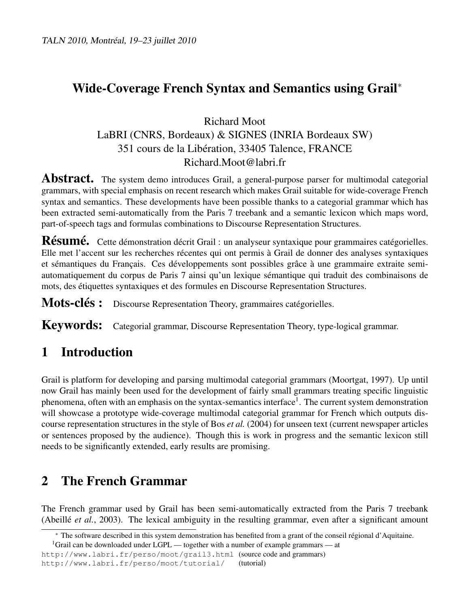## Wide-Coverage French Syntax and Semantics using Grail<sup>∗</sup>

### Richard Moot LaBRI (CNRS, Bordeaux) & SIGNES (INRIA Bordeaux SW) 351 cours de la Libération, 33405 Talence, FRANCE Richard.Moot@labri.fr

**Abstract.** The system demo introduces Grail, a general-purpose parser for multimodal categorial grammars, with special emphasis on recent research which makes Grail suitable for wide-coverage French syntax and semantics. These developments have been possible thanks to a categorial grammar which has been extracted semi-automatically from the Paris 7 treebank and a semantic lexicon which maps word, part-of-speech tags and formulas combinations to Discourse Representation Structures.

Résumé. Cette démonstration décrit Grail : un analyseur syntaxique pour grammaires catégorielles. Elle met l'accent sur les recherches récentes qui ont permis à Grail de donner des analyses syntaxiques et sémantiques du Français. Ces développements sont possibles grâce à une grammaire extraite semiautomatiquement du corpus de Paris 7 ainsi qu'un lexique sémantique qui traduit des combinaisons de mots, des étiquettes syntaxiques et des formules en Discourse Representation Structures.

Mots-clés : Discourse Representation Theory, grammaires catégorielles.

Keywords: Categorial grammar, Discourse Representation Theory, type-logical grammar.

### 1 Introduction

Grail is platform for developing and parsing multimodal categorial grammars (Moortgat, 1997). Up until now Grail has mainly been used for the development of fairly small grammars treating specific linguistic phenomena, often with an emphasis on the syntax-semantics interface<sup>1</sup>. The current system demonstration will showcase a prototype wide-coverage multimodal categorial grammar for French which outputs discourse representation structures in the style of Bos *et al.* (2004) for unseen text (current newspaper articles or sentences proposed by the audience). Though this is work in progress and the semantic lexicon still needs to be significantly extended, early results are promising.

# 2 The French Grammar

The French grammar used by Grail has been semi-automatically extracted from the Paris 7 treebank (Abeillé *et al.*, 2003). The lexical ambiguity in the resulting grammar, even after a significant amount

<sup>∗</sup> The software described in this system demonstration has benefited from a grant of the conseil régional d'Aquitaine.

<sup>&</sup>lt;sup>1</sup>Grail can be downloaded under LGPL — together with a number of example grammars — at

http://www.labri.fr/perso/moot/grail3.html (source code and grammars) http://www.labri.fr/perso/moot/tutorial/ (tutorial)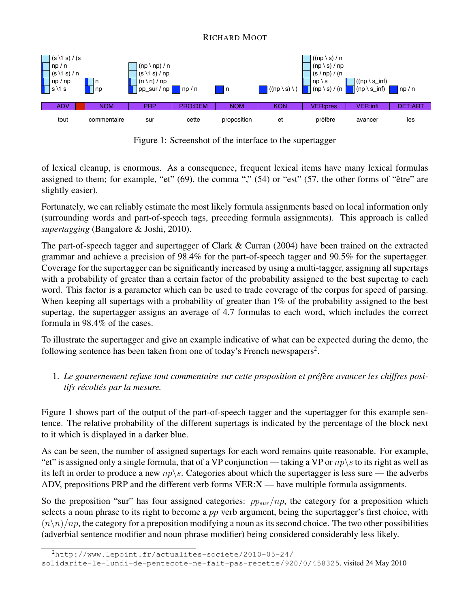

Figure 1: Screenshot of the interface to the supertagger

of lexical cleanup, is enormous. As a consequence, frequent lexical items have many lexical formulas assigned to them; for example, "et" (69), the comma "," (54) or "est" (57, the other forms of "être" are slightly easier).

Fortunately, we can reliably estimate the most likely formula assignments based on local information only (surrounding words and part-of-speech tags, preceding formula assignments). This approach is called *supertagging* (Bangalore & Joshi, 2010).

The part-of-speech tagger and supertagger of Clark & Curran (2004) have been trained on the extracted grammar and achieve a precision of 98.4% for the part-of-speech tagger and 90.5% for the supertagger. Coverage for the supertagger can be significantly increased by using a multi-tagger, assigning all supertags with a probability of greater than a certain factor of the probability assigned to the best supertag to each word. This factor is a parameter which can be used to trade coverage of the corpus for speed of parsing. When keeping all supertags with a probability of greater than 1% of the probability assigned to the best supertag, the supertagger assigns an average of 4.7 formulas to each word, which includes the correct formula in 98.4% of the cases.

To illustrate the supertagger and give an example indicative of what can be expected during the demo, the following sentence has been taken from one of today's French newspapers<sup>2</sup>.

1. *Le gouvernement refuse tout commentaire sur cette proposition et préfère avancer les chiffres positifs récoltés par la mesure.*

Figure 1 shows part of the output of the part-of-speech tagger and the supertagger for this example sentence. The relative probability of the different supertags is indicated by the percentage of the block next to it which is displayed in a darker blue.

As can be seen, the number of assigned supertags for each word remains quite reasonable. For example, "et" is assigned only a single formula, that of a VP conjunction — taking a VP or  $np\$ s to its right as well as its left in order to produce a new  $np \backslash s$ . Categories about which the supertagger is less sure — the adverbs ADV, prepositions PRP and the different verb forms VER:X — have multiple formula assignments.

So the preposition "sur" has four assigned categories:  $pp_{sur}/np$ , the category for a preposition which selects a noun phrase to its right to become a *pp* verb argument, being the supertagger's first choice, with  $(n\backslash n)/np$ , the category for a preposition modifying a noun as its second choice. The two other possibilities (adverbial sentence modifier and noun phrase modifier) being considered considerably less likely.

#### RICHARD MOOT

<sup>2</sup>http://www.lepoint.fr/actualites-societe/2010-05-24/

solidarite-le-lundi-de-pentecote-ne-fait-pas-recette/920/0/458325, visited 24 May 2010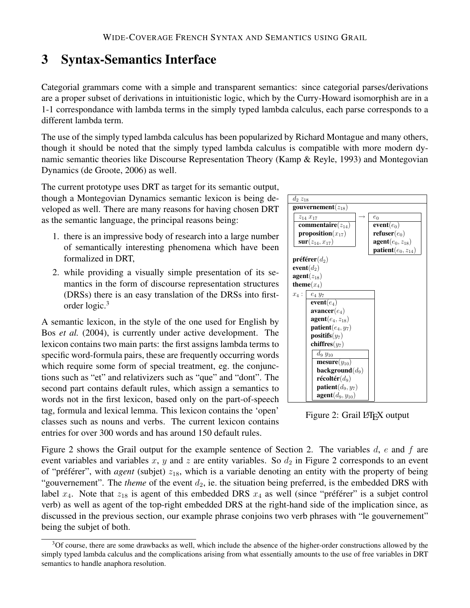### 3 Syntax-Semantics Interface

Categorial grammars come with a simple and transparent semantics: since categorial parses/derivations are a proper subset of derivations in intuitionistic logic, which by the Curry-Howard isomorphish are in a 1-1 correspondance with lambda terms in the simply typed lambda calculus, each parse corresponds to a different lambda term.

The use of the simply typed lambda calculus has been popularized by Richard Montague and many others, though it should be noted that the simply typed lambda calculus is compatible with more modern dynamic semantic theories like Discourse Representation Theory (Kamp & Reyle, 1993) and Montegovian Dynamics (de Groote, 2006) as well.

The current prototype uses DRT as target for its semantic output, though a Montegovian Dynamics semantic lexicon is being developed as well. There are many reasons for having chosen DRT as the semantic language, the principal reasons being:

- 1. there is an impressive body of research into a large number of semantically interesting phenomena which have been formalized in DRT,
- 2. while providing a visually simple presentation of its semantics in the form of discourse representation structures (DRSs) there is an easy translation of the DRSs into firstorder logic.<sup>3</sup>

A semantic lexicon, in the style of the one used for English by Bos *et al.* (2004), is currently under active development. The lexicon contains two main parts: the first assigns lambda terms to specific word-formula pairs, these are frequently occurring words which require some form of special treatment, eg. the conjunctions such as "et" and relativizers such as "que" and "dont". The second part contains default rules, which assign a semantics to words not in the first lexicon, based only on the part-of-speech tag, formula and lexical lemma. This lexicon contains the 'open' classes such as nouns and verbs. The current lexicon contains entries for over 300 words and has around 150 default rules.



Figure 2: Grail LATEX output

Figure 2 shows the Grail output for the example sentence of Section 2. The variables  $d, e$  and  $f$  are event variables and variables x, y and z are entity variables. So  $d_2$  in Figure 2 corresponds to an event of "préférer", with *agent* (subjet)  $z_{18}$ , which is a variable denoting an entity with the property of being "gouvernement". The *theme* of the event  $d_2$ , ie. the situation being preferred, is the embedded DRS with label  $x_4$ . Note that  $z_{18}$  is agent of this embedded DRS  $x_4$  as well (since "préférer" is a subjet control verb) as well as agent of the top-right embedded DRS at the right-hand side of the implication since, as discussed in the previous section, our example phrase conjoins two verb phrases with "le gouvernement" being the subjet of both.

<sup>&</sup>lt;sup>3</sup>Of course, there are some drawbacks as well, which include the absence of the higher-order constructions allowed by the simply typed lambda calculus and the complications arising from what essentially amounts to the use of free variables in DRT semantics to handle anaphora resolution.